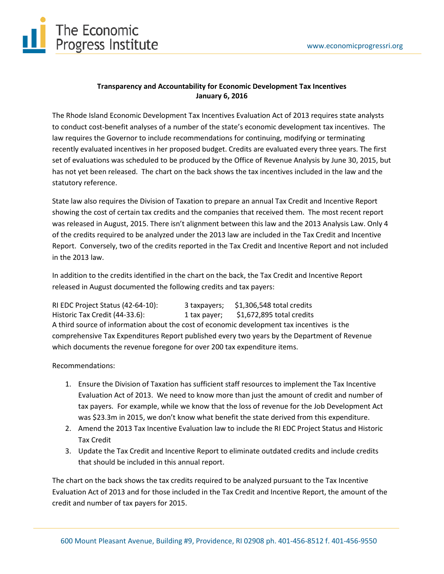

## **Transparency and Accountability for Economic Development Tax Incentives January 6, 2016**

The Rhode Island Economic Development Tax Incentives Evaluation Act of 2013 requires state analysts to conduct cost-benefit analyses of a number of the state's economic development tax incentives. The law requires the Governor to include recommendations for continuing, modifying or terminating recently evaluated incentives in her proposed budget. Credits are evaluated every three years. The first set of evaluations was scheduled to be produced by the Office of Revenue Analysis by June 30, 2015, but has not yet been released. The chart on the back shows the tax incentives included in the law and the statutory reference.

State law also requires the Division of Taxation to prepare an annual Tax Credit and Incentive Report showing the cost of certain tax credits and the companies that received them. The most recent report was released in August, 2015. There isn't alignment between this law and the 2013 Analysis Law. Only 4 of the credits required to be analyzed under the 2013 law are included in the Tax Credit and Incentive Report. Conversely, two of the credits reported in the Tax Credit and Incentive Report and not included in the 2013 law.

In addition to the credits identified in the chart on the back, the Tax Credit and Incentive Report released in August documented the following credits and tax payers:

RI EDC Project Status (42-64-10): 3 taxpayers; \$1,306,548 total credits Historic Tax Credit (44-33.6): 1 tax payer; \$1,672,895 total credits A third source of information about the cost of economic development tax incentives is the comprehensive Tax Expenditures Report published every two years by the Department of Revenue which documents the revenue foregone for over 200 tax expenditure items.

Recommendations:

- 1. Ensure the Division of Taxation has sufficient staff resources to implement the Tax Incentive Evaluation Act of 2013. We need to know more than just the amount of credit and number of tax payers. For example, while we know that the loss of revenue for the Job Development Act was \$23.3m in 2015, we don't know what benefit the state derived from this expenditure.
- 2. Amend the 2013 Tax Incentive Evaluation law to include the RI EDC Project Status and Historic Tax Credit
- 3. Update the Tax Credit and Incentive Report to eliminate outdated credits and include credits that should be included in this annual report.

The chart on the back shows the tax credits required to be analyzed pursuant to the Tax Incentive Evaluation Act of 2013 and for those included in the Tax Credit and Incentive Report, the amount of the credit and number of tax payers for 2015.